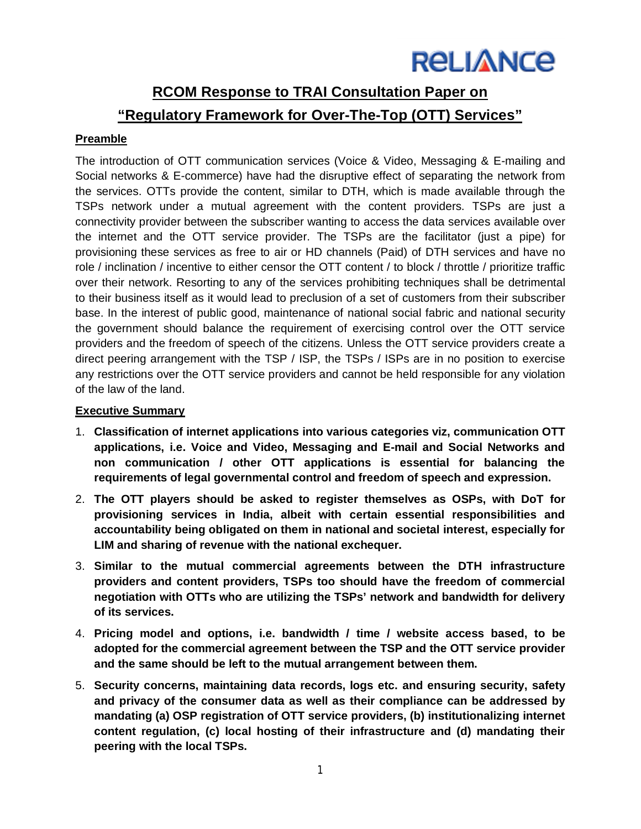## **RCOM Response to TRAI Consultation Paper on "Regulatory Framework for Over-The-Top (OTT) Services"**

## **Preamble**

The introduction of OTT communication services (Voice & Video, Messaging & E-mailing and Social networks & E-commerce) have had the disruptive effect of separating the network from the services. OTTs provide the content, similar to DTH, which is made available through the TSPs network under a mutual agreement with the content providers. TSPs are just a connectivity provider between the subscriber wanting to access the data services available over the internet and the OTT service provider. The TSPs are the facilitator (just a pipe) for provisioning these services as free to air or HD channels (Paid) of DTH services and have no role / inclination / incentive to either censor the OTT content / to block / throttle / prioritize traffic over their network. Resorting to any of the services prohibiting techniques shall be detrimental to their business itself as it would lead to preclusion of a set of customers from their subscriber base. In the interest of public good, maintenance of national social fabric and national security the government should balance the requirement of exercising control over the OTT service providers and the freedom of speech of the citizens. Unless the OTT service providers create a direct peering arrangement with the TSP / ISP, the TSPs / ISPs are in no position to exercise any restrictions over the OTT service providers and cannot be held responsible for any violation of the law of the land.

### **Executive Summary**

- 1. **Classification of internet applications into various categories viz, communication OTT applications, i.e. Voice and Video, Messaging and E-mail and Social Networks and non communication / other OTT applications is essential for balancing the requirements of legal governmental control and freedom of speech and expression.**
- 2. **The OTT players should be asked to register themselves as OSPs, with DoT for provisioning services in India, albeit with certain essential responsibilities and accountability being obligated on them in national and societal interest, especially for LIM and sharing of revenue with the national exchequer.**
- 3. **Similar to the mutual commercial agreements between the DTH infrastructure providers and content providers, TSPs too should have the freedom of commercial negotiation with OTTs who are utilizing the TSPs' network and bandwidth for delivery of its services.**
- 4. **Pricing model and options, i.e. bandwidth / time / website access based, to be adopted for the commercial agreement between the TSP and the OTT service provider and the same should be left to the mutual arrangement between them.**
- 5. **Security concerns, maintaining data records, logs etc. and ensuring security, safety and privacy of the consumer data as well as their compliance can be addressed by mandating (a) OSP registration of OTT service providers, (b) institutionalizing internet content regulation, (c) local hosting of their infrastructure and (d) mandating their peering with the local TSPs.**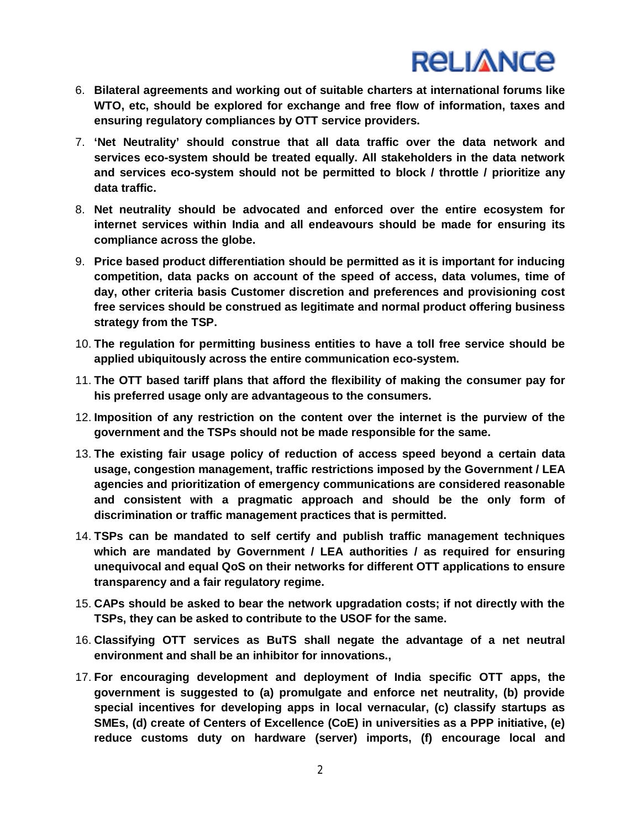- 6. **Bilateral agreements and working out of suitable charters at international forums like WTO, etc, should be explored for exchange and free flow of information, taxes and ensuring regulatory compliances by OTT service providers.**
- 7. **'Net Neutrality' should construe that all data traffic over the data network and services eco-system should be treated equally. All stakeholders in the data network and services eco-system should not be permitted to block / throttle / prioritize any data traffic.**
- 8. **Net neutrality should be advocated and enforced over the entire ecosystem for internet services within India and all endeavours should be made for ensuring its compliance across the globe.**
- 9. **Price based product differentiation should be permitted as it is important for inducing competition, data packs on account of the speed of access, data volumes, time of day, other criteria basis Customer discretion and preferences and provisioning cost free services should be construed as legitimate and normal product offering business strategy from the TSP.**
- 10. **The regulation for permitting business entities to have a toll free service should be applied ubiquitously across the entire communication eco-system.**
- 11. **The OTT based tariff plans that afford the flexibility of making the consumer pay for his preferred usage only are advantageous to the consumers.**
- 12. **Imposition of any restriction on the content over the internet is the purview of the government and the TSPs should not be made responsible for the same.**
- 13. **The existing fair usage policy of reduction of access speed beyond a certain data usage, congestion management, traffic restrictions imposed by the Government / LEA agencies and prioritization of emergency communications are considered reasonable and consistent with a pragmatic approach and should be the only form of discrimination or traffic management practices that is permitted.**
- 14. **TSPs can be mandated to self certify and publish traffic management techniques which are mandated by Government / LEA authorities / as required for ensuring unequivocal and equal QoS on their networks for different OTT applications to ensure transparency and a fair regulatory regime.**
- 15. **CAPs should be asked to bear the network upgradation costs; if not directly with the TSPs, they can be asked to contribute to the USOF for the same.**
- 16. **Classifying OTT services as BuTS shall negate the advantage of a net neutral environment and shall be an inhibitor for innovations.,**
- 17. **For encouraging development and deployment of India specific OTT apps, the government is suggested to (a) promulgate and enforce net neutrality, (b) provide special incentives for developing apps in local vernacular, (c) classify startups as SMEs, (d) create of Centers of Excellence (CoE) in universities as a PPP initiative, (e) reduce customs duty on hardware (server) imports, (f) encourage local and**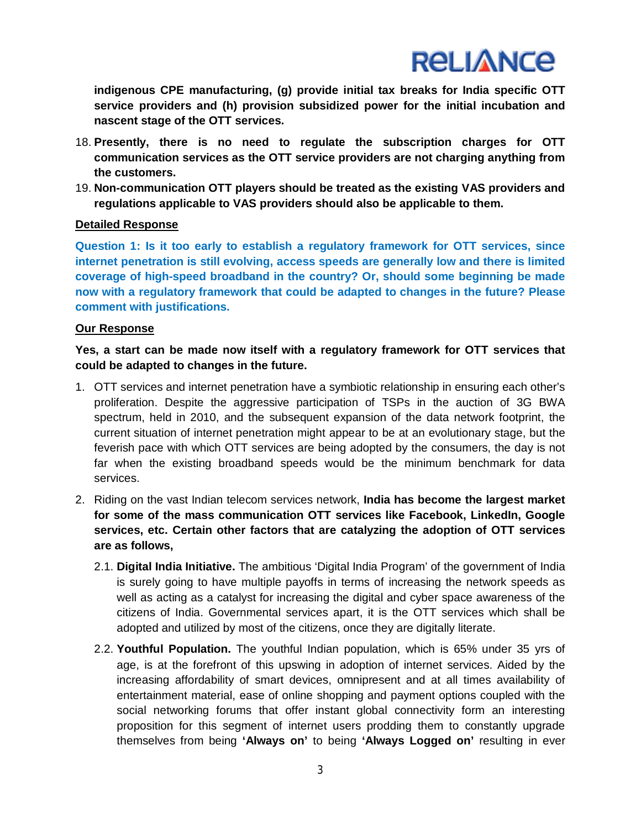**indigenous CPE manufacturing, (g) provide initial tax breaks for India specific OTT service providers and (h) provision subsidized power for the initial incubation and nascent stage of the OTT services.**

- 18. **Presently, there is no need to regulate the subscription charges for OTT communication services as the OTT service providers are not charging anything from the customers.**
- 19. **Non-communication OTT players should be treated as the existing VAS providers and regulations applicable to VAS providers should also be applicable to them.**

### **Detailed Response**

**Question 1: Is it too early to establish a regulatory framework for OTT services, since internet penetration is still evolving, access speeds are generally low and there is limited coverage of high-speed broadband in the country? Or, should some beginning be made now with a regulatory framework that could be adapted to changes in the future? Please comment with justifications.**

### **Our Response**

**Yes, a start can be made now itself with a regulatory framework for OTT services that could be adapted to changes in the future.**

- 1. OTT services and internet penetration have a symbiotic relationship in ensuring each other's proliferation. Despite the aggressive participation of TSPs in the auction of 3G BWA spectrum, held in 2010, and the subsequent expansion of the data network footprint, the current situation of internet penetration might appear to be at an evolutionary stage, but the feverish pace with which OTT services are being adopted by the consumers, the day is not far when the existing broadband speeds would be the minimum benchmark for data services.
- 2. Riding on the vast Indian telecom services network, **India has become the largest market for some of the mass communication OTT services like Facebook, LinkedIn, Google services, etc. Certain other factors that are catalyzing the adoption of OTT services are as follows,**
	- 2.1. **Digital India Initiative.** The ambitious 'Digital India Program' of the government of India is surely going to have multiple payoffs in terms of increasing the network speeds as well as acting as a catalyst for increasing the digital and cyber space awareness of the citizens of India. Governmental services apart, it is the OTT services which shall be adopted and utilized by most of the citizens, once they are digitally literate.
	- 2.2. **Youthful Population.** The youthful Indian population, which is 65% under 35 yrs of age, is at the forefront of this upswing in adoption of internet services. Aided by the increasing affordability of smart devices, omnipresent and at all times availability of entertainment material, ease of online shopping and payment options coupled with the social networking forums that offer instant global connectivity form an interesting proposition for this segment of internet users prodding them to constantly upgrade themselves from being **'Always on'** to being **'Always Logged on'** resulting in ever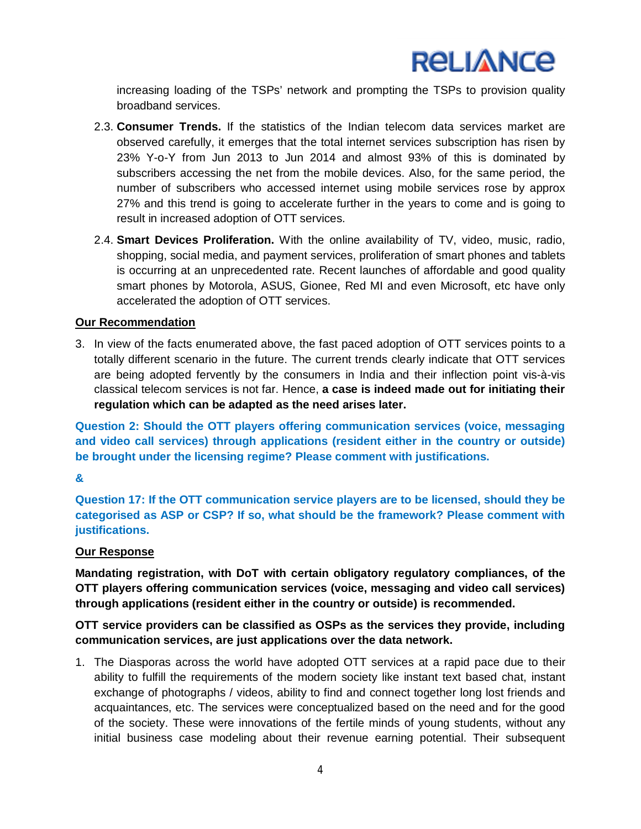

increasing loading of the TSPs' network and prompting the TSPs to provision quality broadband services.

- 2.3. **Consumer Trends.** If the statistics of the Indian telecom data services market are observed carefully, it emerges that the total internet services subscription has risen by 23% Y-o-Y from Jun 2013 to Jun 2014 and almost 93% of this is dominated by subscribers accessing the net from the mobile devices. Also, for the same period, the number of subscribers who accessed internet using mobile services rose by approx 27% and this trend is going to accelerate further in the years to come and is going to result in increased adoption of OTT services.
- 2.4. **Smart Devices Proliferation.** With the online availability of TV, video, music, radio, shopping, social media, and payment services, proliferation of smart phones and tablets is occurring at an unprecedented rate. Recent launches of affordable and good quality smart phones by Motorola, ASUS, Gionee, Red MI and even Microsoft, etc have only accelerated the adoption of OTT services.

### **Our Recommendation**

3. In view of the facts enumerated above, the fast paced adoption of OTT services points to a totally different scenario in the future. The current trends clearly indicate that OTT services are being adopted fervently by the consumers in India and their inflection point vis-à-vis classical telecom services is not far. Hence, **a case is indeed made out for initiating their regulation which can be adapted as the need arises later.**

**Question 2: Should the OTT players offering communication services (voice, messaging and video call services) through applications (resident either in the country or outside) be brought under the licensing regime? Please comment with justifications.**

#### **&**

**Question 17: If the OTT communication service players are to be licensed, should they be categorised as ASP or CSP? If so, what should be the framework? Please comment with justifications.**

#### **Our Response**

**Mandating registration, with DoT with certain obligatory regulatory compliances, of the OTT players offering communication services (voice, messaging and video call services) through applications (resident either in the country or outside) is recommended.**

**OTT service providers can be classified as OSPs as the services they provide, including communication services, are just applications over the data network.**

1. The Diasporas across the world have adopted OTT services at a rapid pace due to their ability to fulfill the requirements of the modern society like instant text based chat, instant exchange of photographs / videos, ability to find and connect together long lost friends and acquaintances, etc. The services were conceptualized based on the need and for the good of the society. These were innovations of the fertile minds of young students, without any initial business case modeling about their revenue earning potential. Their subsequent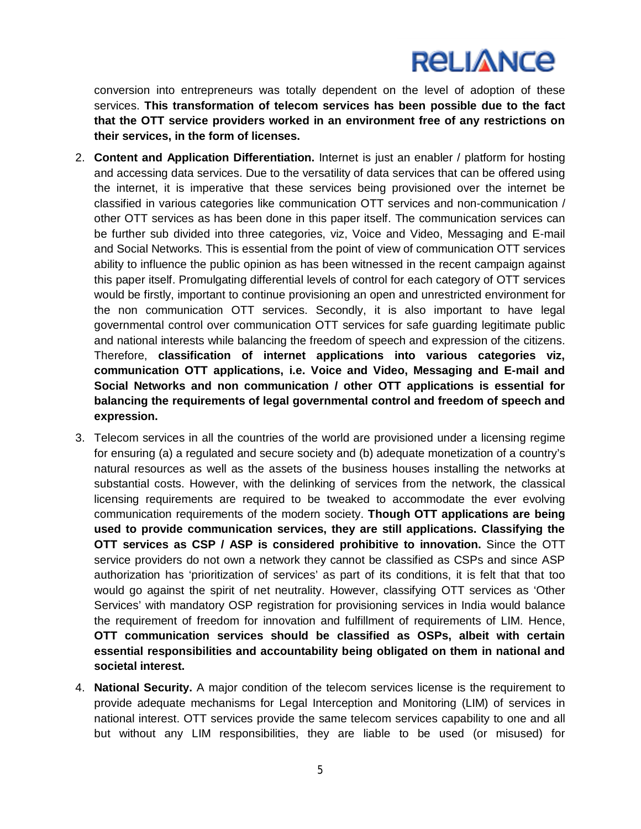conversion into entrepreneurs was totally dependent on the level of adoption of these services. **This transformation of telecom services has been possible due to the fact that the OTT service providers worked in an environment free of any restrictions on their services, in the form of licenses.**

- 2. **Content and Application Differentiation.** Internet is just an enabler / platform for hosting and accessing data services. Due to the versatility of data services that can be offered using the internet, it is imperative that these services being provisioned over the internet be classified in various categories like communication OTT services and non-communication / other OTT services as has been done in this paper itself. The communication services can be further sub divided into three categories, viz, Voice and Video, Messaging and E-mail and Social Networks. This is essential from the point of view of communication OTT services ability to influence the public opinion as has been witnessed in the recent campaign against this paper itself. Promulgating differential levels of control for each category of OTT services would be firstly, important to continue provisioning an open and unrestricted environment for the non communication OTT services. Secondly, it is also important to have legal governmental control over communication OTT services for safe guarding legitimate public and national interests while balancing the freedom of speech and expression of the citizens. Therefore, **classification of internet applications into various categories viz, communication OTT applications, i.e. Voice and Video, Messaging and E-mail and Social Networks and non communication / other OTT applications is essential for balancing the requirements of legal governmental control and freedom of speech and expression.**
- 3. Telecom services in all the countries of the world are provisioned under a licensing regime for ensuring (a) a regulated and secure society and (b) adequate monetization of a country's natural resources as well as the assets of the business houses installing the networks at substantial costs. However, with the delinking of services from the network, the classical licensing requirements are required to be tweaked to accommodate the ever evolving communication requirements of the modern society. **Though OTT applications are being used to provide communication services, they are still applications. Classifying the OTT services as CSP / ASP is considered prohibitive to innovation.** Since the OTT service providers do not own a network they cannot be classified as CSPs and since ASP authorization has 'prioritization of services' as part of its conditions, it is felt that that too would go against the spirit of net neutrality. However, classifying OTT services as 'Other Services' with mandatory OSP registration for provisioning services in India would balance the requirement of freedom for innovation and fulfillment of requirements of LIM. Hence, **OTT communication services should be classified as OSPs, albeit with certain essential responsibilities and accountability being obligated on them in national and societal interest.**
- 4. **National Security.** A major condition of the telecom services license is the requirement to provide adequate mechanisms for Legal Interception and Monitoring (LIM) of services in national interest. OTT services provide the same telecom services capability to one and all but without any LIM responsibilities, they are liable to be used (or misused) for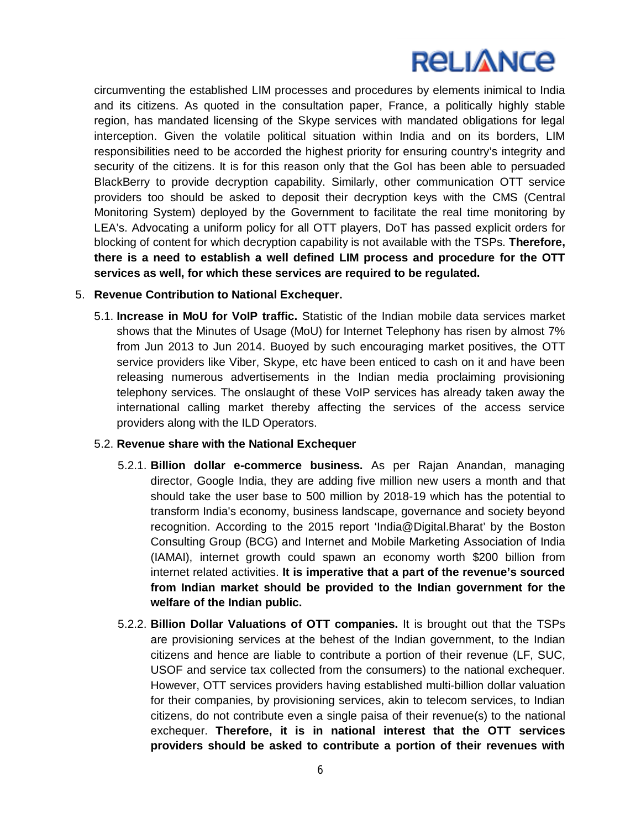circumventing the established LIM processes and procedures by elements inimical to India and its citizens. As quoted in the consultation paper, France, a politically highly stable region, has mandated licensing of the Skype services with mandated obligations for legal interception. Given the volatile political situation within India and on its borders, LIM responsibilities need to be accorded the highest priority for ensuring country's integrity and security of the citizens. It is for this reason only that the GoI has been able to persuaded BlackBerry to provide decryption capability. Similarly, other communication OTT service providers too should be asked to deposit their decryption keys with the CMS (Central Monitoring System) deployed by the Government to facilitate the real time monitoring by LEA's. Advocating a uniform policy for all OTT players, DoT has passed explicit orders for blocking of content for which decryption capability is not available with the TSPs. **Therefore, there is a need to establish a well defined LIM process and procedure for the OTT services as well, for which these services are required to be regulated.**

### 5. **Revenue Contribution to National Exchequer.**

5.1. **Increase in MoU for VoIP traffic.** Statistic of the Indian mobile data services market shows that the Minutes of Usage (MoU) for Internet Telephony has risen by almost 7% from Jun 2013 to Jun 2014. Buoyed by such encouraging market positives, the OTT service providers like Viber, Skype, etc have been enticed to cash on it and have been releasing numerous advertisements in the Indian media proclaiming provisioning telephony services. The onslaught of these VoIP services has already taken away the international calling market thereby affecting the services of the access service providers along with the ILD Operators.

### 5.2. **Revenue share with the National Exchequer**

- 5.2.1. **Billion dollar e-commerce business.** As per Rajan Anandan, managing director, Google India, they are adding five million new users a month and that should take the user base to 500 million by 2018-19 which has the potential to transform India's economy, business landscape, governance and society beyond recognition. According to the 2015 report 'India@Digital.Bharat' by the Boston Consulting Group (BCG) and Internet and Mobile Marketing Association of India (IAMAI), internet growth could spawn an economy worth \$200 billion from internet related activities. **It is imperative that a part of the revenue's sourced from Indian market should be provided to the Indian government for the welfare of the Indian public.**
- 5.2.2. **Billion Dollar Valuations of OTT companies.** It is brought out that the TSPs are provisioning services at the behest of the Indian government, to the Indian citizens and hence are liable to contribute a portion of their revenue (LF, SUC, USOF and service tax collected from the consumers) to the national exchequer. However, OTT services providers having established multi-billion dollar valuation for their companies, by provisioning services, akin to telecom services, to Indian citizens, do not contribute even a single paisa of their revenue(s) to the national exchequer. **Therefore, it is in national interest that the OTT services providers should be asked to contribute a portion of their revenues with**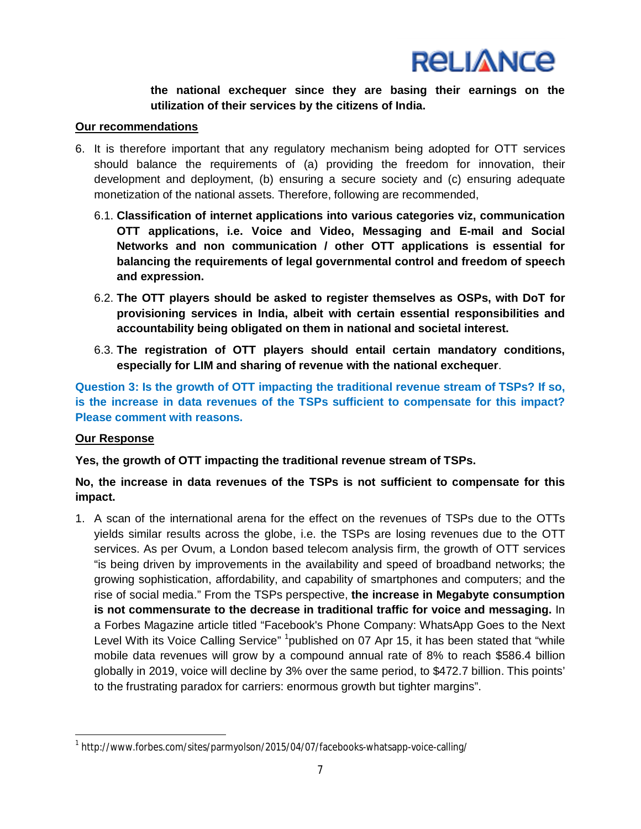

**the national exchequer since they are basing their earnings on the utilization of their services by the citizens of India.**

#### **Our recommendations**

- 6. It is therefore important that any regulatory mechanism being adopted for OTT services should balance the requirements of (a) providing the freedom for innovation, their development and deployment, (b) ensuring a secure society and (c) ensuring adequate monetization of the national assets. Therefore, following are recommended,
	- 6.1. **Classification of internet applications into various categories viz, communication OTT applications, i.e. Voice and Video, Messaging and E-mail and Social Networks and non communication / other OTT applications is essential for balancing the requirements of legal governmental control and freedom of speech and expression.**
	- 6.2. **The OTT players should be asked to register themselves as OSPs, with DoT for provisioning services in India, albeit with certain essential responsibilities and accountability being obligated on them in national and societal interest.**
	- 6.3. **The registration of OTT players should entail certain mandatory conditions, especially for LIM and sharing of revenue with the national exchequer**.

**Question 3: Is the growth of OTT impacting the traditional revenue stream of TSPs? If so, is the increase in data revenues of the TSPs sufficient to compensate for this impact? Please comment with reasons.**

#### **Our Response**

 $\overline{a}$ 

**Yes, the growth of OTT impacting the traditional revenue stream of TSPs.**

### **No, the increase in data revenues of the TSPs is not sufficient to compensate for this impact.**

1. A scan of the international arena for the effect on the revenues of TSPs due to the OTTs yields similar results across the globe, i.e. the TSPs are losing revenues due to the OTT services. As per Ovum, a London based telecom analysis firm, the growth of OTT services "is being driven by improvements in the availability and speed of broadband networks; the growing sophistication, affordability, and capability of smartphones and computers; and the rise of social media." From the TSPs perspective, **the increase in Megabyte consumption is not commensurate to the decrease in traditional traffic for voice and messaging.** In a Forbes Magazine article titled "Facebook's Phone Company: WhatsApp Goes to the Next Level With its Voice Calling Service" <sup>1</sup>published on 07 Apr 15, it has been stated that "while mobile data revenues will grow by a compound annual rate of 8% to reach \$586.4 billion globally in 2019, voice will decline by 3% over the same period, to \$472.7 billion. This points' to the frustrating paradox for carriers: enormous growth but tighter margins".

<sup>1</sup> http://www.forbes.com/sites/parmyolson/2015/04/07/facebooks-whatsapp-voice-calling/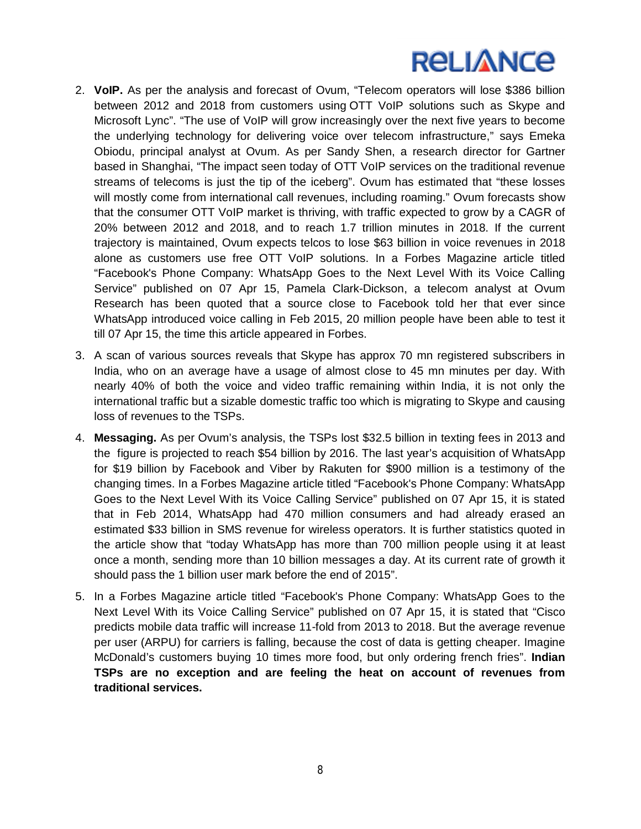- 2. **VoIP.** As per the analysis and forecast of Ovum, "Telecom operators will lose \$386 billion between 2012 and 2018 from customers using OTT VoIP solutions such as Skype and Microsoft Lync". "The use of VoIP will grow increasingly over the next five years to become the underlying technology for delivering voice over telecom infrastructure," says Emeka Obiodu, principal analyst at Ovum. As per Sandy Shen, a research director for Gartner based in Shanghai, "The impact seen today of OTT VoIP services on the traditional revenue streams of telecoms is just the tip of the iceberg". Ovum has estimated that "these losses will mostly come from international call revenues, including roaming." Ovum forecasts show that the consumer OTT VoIP market is thriving, with traffic expected to grow by a CAGR of 20% between 2012 and 2018, and to reach 1.7 trillion minutes in 2018. If the current trajectory is maintained, Ovum expects telcos to lose \$63 billion in voice revenues in 2018 alone as customers use free OTT VoIP solutions. In a Forbes Magazine article titled "Facebook's Phone Company: WhatsApp Goes to the Next Level With its Voice Calling Service" published on 07 Apr 15, Pamela Clark-Dickson, a telecom analyst at Ovum Research has been quoted that a source close to Facebook told her that ever since WhatsApp introduced voice calling in Feb 2015, 20 million people have been able to test it till 07 Apr 15, the time this article appeared in Forbes.
- 3. A scan of various sources reveals that Skype has approx 70 mn registered subscribers in India, who on an average have a usage of almost close to 45 mn minutes per day. With nearly 40% of both the voice and video traffic remaining within India, it is not only the international traffic but a sizable domestic traffic too which is migrating to Skype and causing loss of revenues to the TSPs.
- 4. **Messaging.** As per Ovum's analysis, the TSPs lost \$32.5 billion in texting fees in 2013 and the figure is projected to reach \$54 billion by 2016. The last year's acquisition of WhatsApp for \$19 billion by Facebook and Viber by Rakuten for \$900 million is a testimony of the changing times. In a Forbes Magazine article titled "Facebook's Phone Company: WhatsApp Goes to the Next Level With its Voice Calling Service" published on 07 Apr 15, it is stated that in Feb 2014, WhatsApp had 470 million consumers and had already erased an estimated \$33 billion in SMS revenue for wireless operators. It is further statistics quoted in the article show that "today WhatsApp has more than 700 million people using it at least once a month, sending more than 10 billion messages a day. At its current rate of growth it should pass the 1 billion user mark before the end of 2015".
- 5. In a Forbes Magazine article titled "Facebook's Phone Company: WhatsApp Goes to the Next Level With its Voice Calling Service" published on 07 Apr 15, it is stated that "Cisco predicts mobile data traffic will increase 11-fold from 2013 to 2018. But the average revenue per user (ARPU) for carriers is falling, because the cost of data is getting cheaper. Imagine McDonald's customers buying 10 times more food, but only ordering french fries". **Indian TSPs are no exception and are feeling the heat on account of revenues from traditional services.**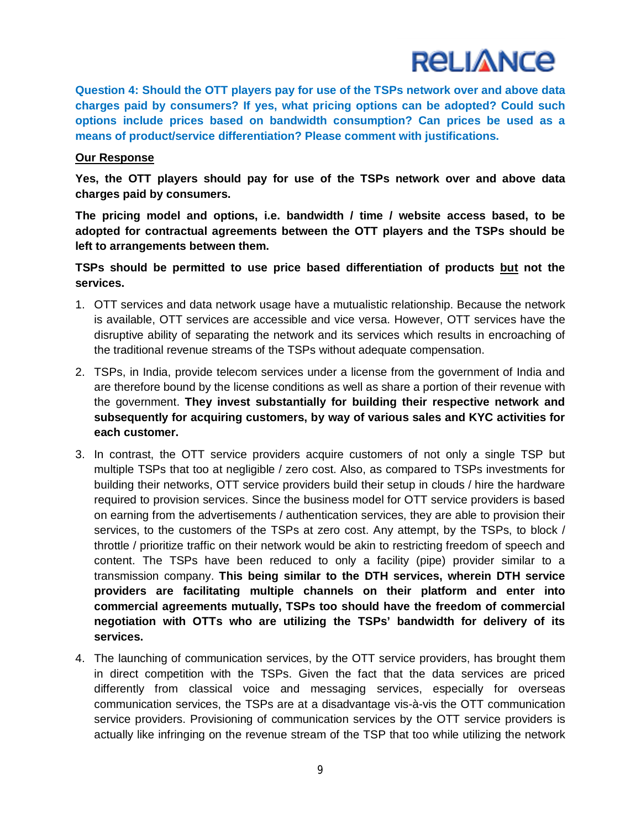

**Question 4: Should the OTT players pay for use of the TSPs network over and above data charges paid by consumers? If yes, what pricing options can be adopted? Could such options include prices based on bandwidth consumption? Can prices be used as a means of product/service differentiation? Please comment with justifications.**

#### **Our Response**

**Yes, the OTT players should pay for use of the TSPs network over and above data charges paid by consumers.**

**The pricing model and options, i.e. bandwidth / time / website access based, to be adopted for contractual agreements between the OTT players and the TSPs should be left to arrangements between them.**

**TSPs should be permitted to use price based differentiation of products but not the services.**

- 1. OTT services and data network usage have a mutualistic relationship. Because the network is available, OTT services are accessible and vice versa. However, OTT services have the disruptive ability of separating the network and its services which results in encroaching of the traditional revenue streams of the TSPs without adequate compensation.
- 2. TSPs, in India, provide telecom services under a license from the government of India and are therefore bound by the license conditions as well as share a portion of their revenue with the government. **They invest substantially for building their respective network and subsequently for acquiring customers, by way of various sales and KYC activities for each customer.**
- 3. In contrast, the OTT service providers acquire customers of not only a single TSP but multiple TSPs that too at negligible / zero cost. Also, as compared to TSPs investments for building their networks, OTT service providers build their setup in clouds / hire the hardware required to provision services. Since the business model for OTT service providers is based on earning from the advertisements / authentication services, they are able to provision their services, to the customers of the TSPs at zero cost. Any attempt, by the TSPs, to block / throttle / prioritize traffic on their network would be akin to restricting freedom of speech and content. The TSPs have been reduced to only a facility (pipe) provider similar to a transmission company. **This being similar to the DTH services, wherein DTH service providers are facilitating multiple channels on their platform and enter into commercial agreements mutually, TSPs too should have the freedom of commercial negotiation with OTTs who are utilizing the TSPs' bandwidth for delivery of its services.**
- 4. The launching of communication services, by the OTT service providers, has brought them in direct competition with the TSPs. Given the fact that the data services are priced differently from classical voice and messaging services, especially for overseas communication services, the TSPs are at a disadvantage vis-à-vis the OTT communication service providers. Provisioning of communication services by the OTT service providers is actually like infringing on the revenue stream of the TSP that too while utilizing the network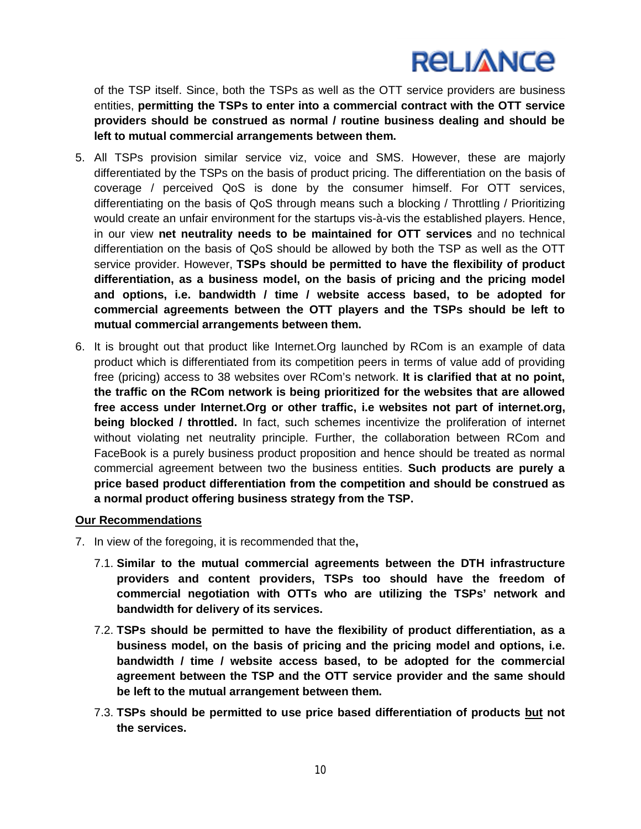of the TSP itself. Since, both the TSPs as well as the OTT service providers are business entities, **permitting the TSPs to enter into a commercial contract with the OTT service providers should be construed as normal / routine business dealing and should be left to mutual commercial arrangements between them.**

- 5. All TSPs provision similar service viz, voice and SMS. However, these are majorly differentiated by the TSPs on the basis of product pricing. The differentiation on the basis of coverage / perceived QoS is done by the consumer himself. For OTT services, differentiating on the basis of QoS through means such a blocking / Throttling / Prioritizing would create an unfair environment for the startups vis-à-vis the established players. Hence, in our view **net neutrality needs to be maintained for OTT services** and no technical differentiation on the basis of QoS should be allowed by both the TSP as well as the OTT service provider. However, **TSPs should be permitted to have the flexibility of product differentiation, as a business model, on the basis of pricing and the pricing model and options, i.e. bandwidth / time / website access based, to be adopted for commercial agreements between the OTT players and the TSPs should be left to mutual commercial arrangements between them.**
- 6. It is brought out that product like Internet.Org launched by RCom is an example of data product which is differentiated from its competition peers in terms of value add of providing free (pricing) access to 38 websites over RCom's network. **It is clarified that at no point, the traffic on the RCom network is being prioritized for the websites that are allowed free access under Internet.Org or other traffic, i.e websites not part of internet.org, being blocked / throttled.** In fact, such schemes incentivize the proliferation of internet without violating net neutrality principle. Further, the collaboration between RCom and FaceBook is a purely business product proposition and hence should be treated as normal commercial agreement between two the business entities. **Such products are purely a price based product differentiation from the competition and should be construed as a normal product offering business strategy from the TSP.**

#### **Our Recommendations**

- 7. In view of the foregoing, it is recommended that the**,**
	- 7.1. **Similar to the mutual commercial agreements between the DTH infrastructure providers and content providers, TSPs too should have the freedom of commercial negotiation with OTTs who are utilizing the TSPs' network and bandwidth for delivery of its services.**
	- 7.2. **TSPs should be permitted to have the flexibility of product differentiation, as a business model, on the basis of pricing and the pricing model and options, i.e. bandwidth / time / website access based, to be adopted for the commercial agreement between the TSP and the OTT service provider and the same should be left to the mutual arrangement between them.**
	- 7.3. **TSPs should be permitted to use price based differentiation of products but not the services.**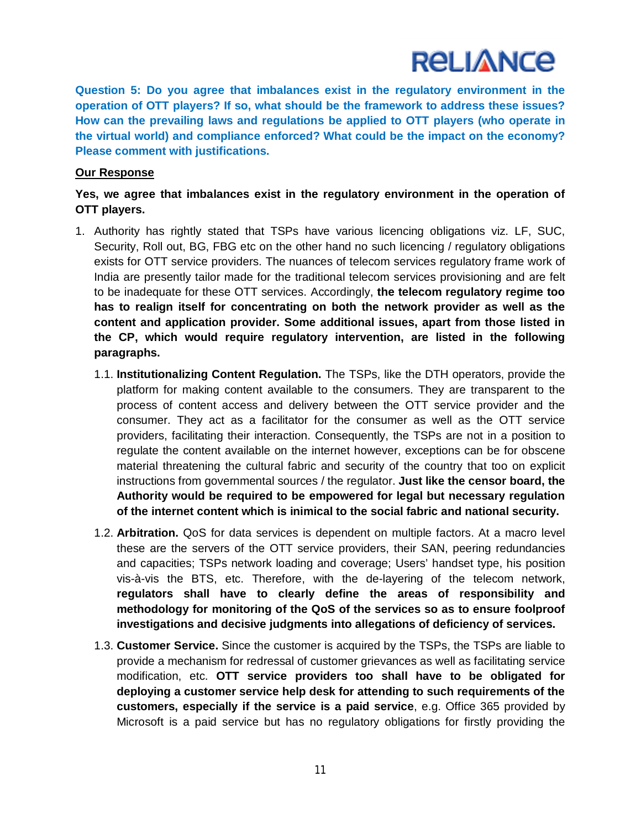**Question 5: Do you agree that imbalances exist in the regulatory environment in the operation of OTT players? If so, what should be the framework to address these issues? How can the prevailing laws and regulations be applied to OTT players (who operate in the virtual world) and compliance enforced? What could be the impact on the economy? Please comment with justifications.**

### **Our Response**

**Yes, we agree that imbalances exist in the regulatory environment in the operation of OTT players.**

- 1. Authority has rightly stated that TSPs have various licencing obligations viz. LF, SUC, Security, Roll out, BG, FBG etc on the other hand no such licencing / regulatory obligations exists for OTT service providers. The nuances of telecom services regulatory frame work of India are presently tailor made for the traditional telecom services provisioning and are felt to be inadequate for these OTT services. Accordingly, **the telecom regulatory regime too has to realign itself for concentrating on both the network provider as well as the content and application provider. Some additional issues, apart from those listed in the CP, which would require regulatory intervention, are listed in the following paragraphs.**
	- 1.1. **Institutionalizing Content Regulation.** The TSPs, like the DTH operators, provide the platform for making content available to the consumers. They are transparent to the process of content access and delivery between the OTT service provider and the consumer. They act as a facilitator for the consumer as well as the OTT service providers, facilitating their interaction. Consequently, the TSPs are not in a position to regulate the content available on the internet however, exceptions can be for obscene material threatening the cultural fabric and security of the country that too on explicit instructions from governmental sources / the regulator. **Just like the censor board, the Authority would be required to be empowered for legal but necessary regulation of the internet content which is inimical to the social fabric and national security.**
	- 1.2. **Arbitration.** QoS for data services is dependent on multiple factors. At a macro level these are the servers of the OTT service providers, their SAN, peering redundancies and capacities; TSPs network loading and coverage; Users' handset type, his position vis-à-vis the BTS, etc. Therefore, with the de-layering of the telecom network, **regulators shall have to clearly define the areas of responsibility and methodology for monitoring of the QoS of the services so as to ensure foolproof investigations and decisive judgments into allegations of deficiency of services.**
	- 1.3. **Customer Service.** Since the customer is acquired by the TSPs, the TSPs are liable to provide a mechanism for redressal of customer grievances as well as facilitating service modification, etc. **OTT service providers too shall have to be obligated for deploying a customer service help desk for attending to such requirements of the customers, especially if the service is a paid service**, e.g. Office 365 provided by Microsoft is a paid service but has no regulatory obligations for firstly providing the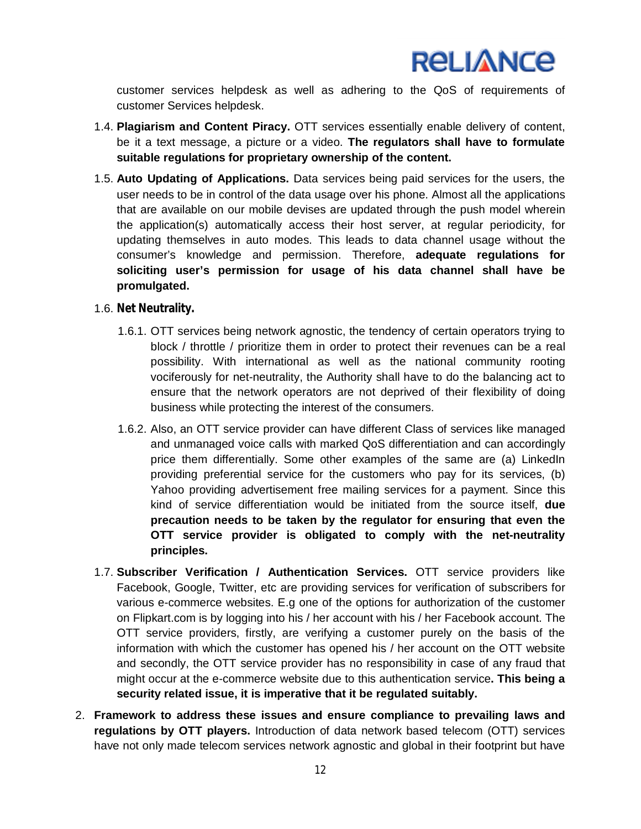

customer services helpdesk as well as adhering to the QoS of requirements of customer Services helpdesk.

- 1.4. **Plagiarism and Content Piracy.** OTT services essentially enable delivery of content, be it a text message, a picture or a video. **The regulators shall have to formulate suitable regulations for proprietary ownership of the content.**
- 1.5. **Auto Updating of Applications.** Data services being paid services for the users, the user needs to be in control of the data usage over his phone. Almost all the applications that are available on our mobile devises are updated through the push model wherein the application(s) automatically access their host server, at regular periodicity, for updating themselves in auto modes. This leads to data channel usage without the consumer's knowledge and permission. Therefore, **adequate regulations for soliciting user's permission for usage of his data channel shall have be promulgated.**

### 1.6. **Net Neutrality.**

- 1.6.1. OTT services being network agnostic, the tendency of certain operators trying to block / throttle / prioritize them in order to protect their revenues can be a real possibility. With international as well as the national community rooting vociferously for net-neutrality, the Authority shall have to do the balancing act to ensure that the network operators are not deprived of their flexibility of doing business while protecting the interest of the consumers.
- 1.6.2. Also, an OTT service provider can have different Class of services like managed and unmanaged voice calls with marked QoS differentiation and can accordingly price them differentially. Some other examples of the same are (a) LinkedIn providing preferential service for the customers who pay for its services, (b) Yahoo providing advertisement free mailing services for a payment. Since this kind of service differentiation would be initiated from the source itself, **due precaution needs to be taken by the regulator for ensuring that even the OTT service provider is obligated to comply with the net-neutrality principles.**
- 1.7. **Subscriber Verification / Authentication Services.** OTT service providers like Facebook, Google, Twitter, etc are providing services for verification of subscribers for various e-commerce websites. E.g one of the options for authorization of the customer on Flipkart.com is by logging into his / her account with his / her Facebook account. The OTT service providers, firstly, are verifying a customer purely on the basis of the information with which the customer has opened his / her account on the OTT website and secondly, the OTT service provider has no responsibility in case of any fraud that might occur at the e-commerce website due to this authentication service**. This being a security related issue, it is imperative that it be regulated suitably.**
- 2. **Framework to address these issues and ensure compliance to prevailing laws and regulations by OTT players.** Introduction of data network based telecom (OTT) services have not only made telecom services network agnostic and global in their footprint but have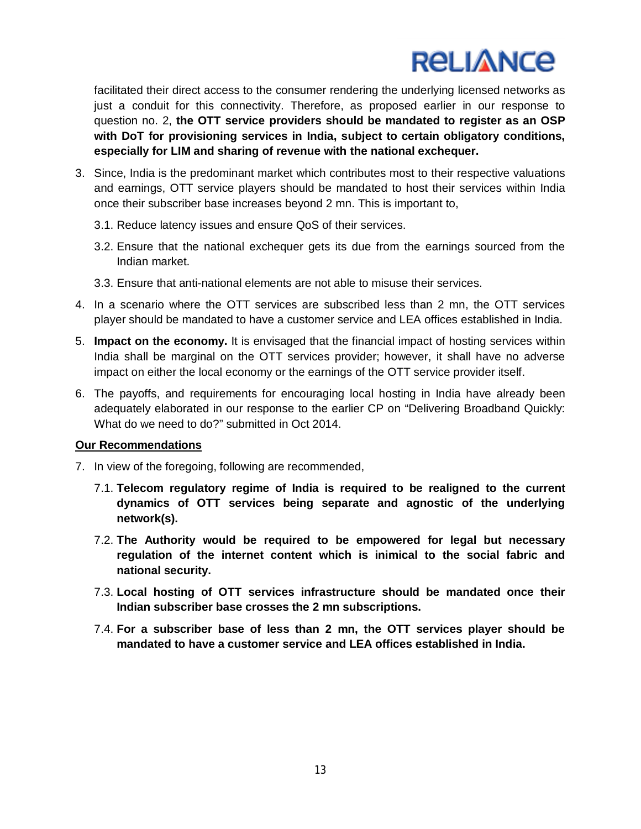facilitated their direct access to the consumer rendering the underlying licensed networks as just a conduit for this connectivity. Therefore, as proposed earlier in our response to question no. 2, **the OTT service providers should be mandated to register as an OSP with DoT for provisioning services in India, subject to certain obligatory conditions, especially for LIM and sharing of revenue with the national exchequer.**

- 3. Since, India is the predominant market which contributes most to their respective valuations and earnings, OTT service players should be mandated to host their services within India once their subscriber base increases beyond 2 mn. This is important to,
	- 3.1. Reduce latency issues and ensure QoS of their services.
	- 3.2. Ensure that the national exchequer gets its due from the earnings sourced from the Indian market.
	- 3.3. Ensure that anti-national elements are not able to misuse their services.
- 4. In a scenario where the OTT services are subscribed less than 2 mn, the OTT services player should be mandated to have a customer service and LEA offices established in India.
- 5. **Impact on the economy.** It is envisaged that the financial impact of hosting services within India shall be marginal on the OTT services provider; however, it shall have no adverse impact on either the local economy or the earnings of the OTT service provider itself.
- 6. The payoffs, and requirements for encouraging local hosting in India have already been adequately elaborated in our response to the earlier CP on "Delivering Broadband Quickly: What do we need to do?" submitted in Oct 2014.

### **Our Recommendations**

- 7. In view of the foregoing, following are recommended,
	- 7.1. **Telecom regulatory regime of India is required to be realigned to the current dynamics of OTT services being separate and agnostic of the underlying network(s).**
	- 7.2. **The Authority would be required to be empowered for legal but necessary regulation of the internet content which is inimical to the social fabric and national security.**
	- 7.3. **Local hosting of OTT services infrastructure should be mandated once their Indian subscriber base crosses the 2 mn subscriptions.**
	- 7.4. **For a subscriber base of less than 2 mn, the OTT services player should be mandated to have a customer service and LEA offices established in India.**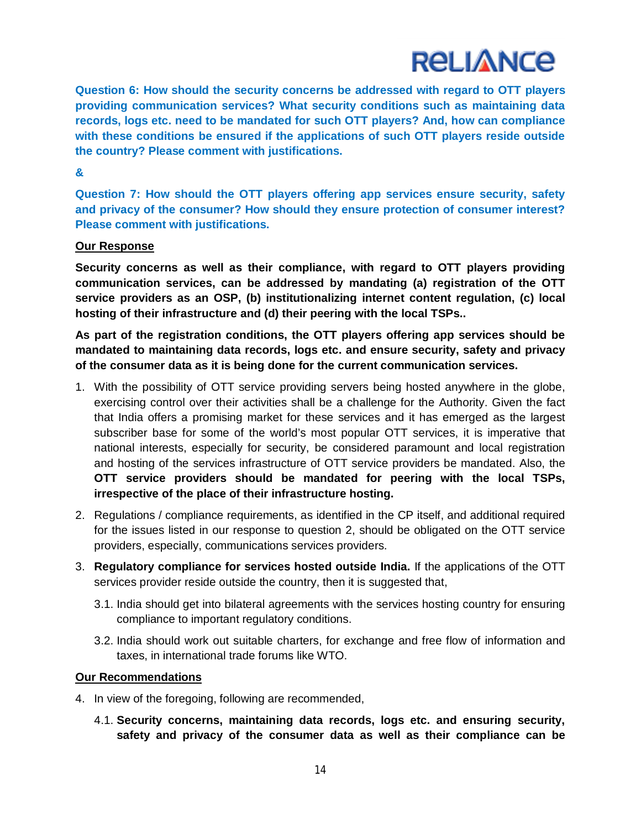**Question 6: How should the security concerns be addressed with regard to OTT players providing communication services? What security conditions such as maintaining data records, logs etc. need to be mandated for such OTT players? And, how can compliance with these conditions be ensured if the applications of such OTT players reside outside the country? Please comment with justifications.**

### **&**

**Question 7: How should the OTT players offering app services ensure security, safety and privacy of the consumer? How should they ensure protection of consumer interest? Please comment with justifications.**

## **Our Response**

**Security concerns as well as their compliance, with regard to OTT players providing communication services, can be addressed by mandating (a) registration of the OTT service providers as an OSP, (b) institutionalizing internet content regulation, (c) local hosting of their infrastructure and (d) their peering with the local TSPs..**

**As part of the registration conditions, the OTT players offering app services should be mandated to maintaining data records, logs etc. and ensure security, safety and privacy of the consumer data as it is being done for the current communication services.**

- 1. With the possibility of OTT service providing servers being hosted anywhere in the globe, exercising control over their activities shall be a challenge for the Authority. Given the fact that India offers a promising market for these services and it has emerged as the largest subscriber base for some of the world's most popular OTT services, it is imperative that national interests, especially for security, be considered paramount and local registration and hosting of the services infrastructure of OTT service providers be mandated. Also, the **OTT service providers should be mandated for peering with the local TSPs, irrespective of the place of their infrastructure hosting.**
- 2. Regulations / compliance requirements, as identified in the CP itself, and additional required for the issues listed in our response to question 2, should be obligated on the OTT service providers, especially, communications services providers.
- 3. **Regulatory compliance for services hosted outside India.** If the applications of the OTT services provider reside outside the country, then it is suggested that,
	- 3.1. India should get into bilateral agreements with the services hosting country for ensuring compliance to important regulatory conditions.
	- 3.2. India should work out suitable charters, for exchange and free flow of information and taxes, in international trade forums like WTO.

### **Our Recommendations**

- 4. In view of the foregoing, following are recommended,
	- 4.1. **Security concerns, maintaining data records, logs etc. and ensuring security, safety and privacy of the consumer data as well as their compliance can be**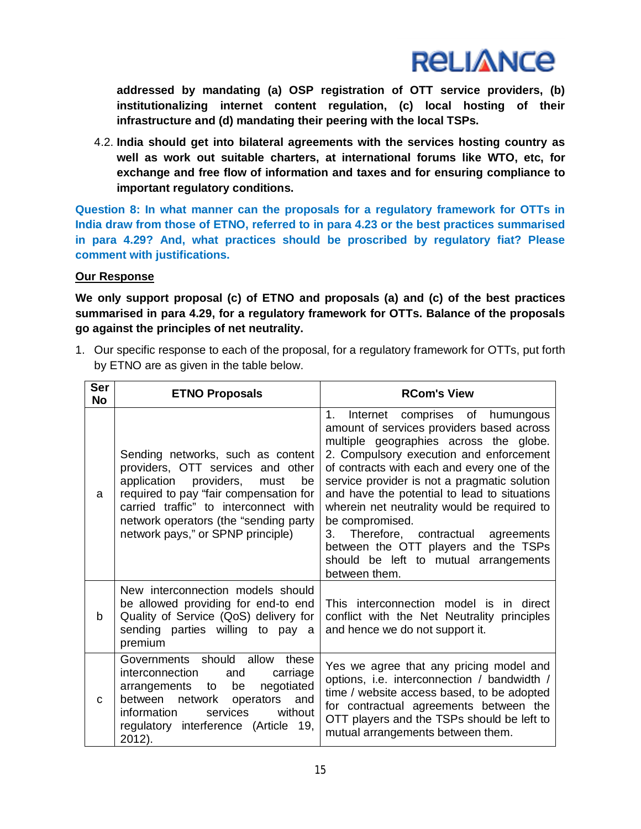

**addressed by mandating (a) OSP registration of OTT service providers, (b) institutionalizing internet content regulation, (c) local hosting of their infrastructure and (d) mandating their peering with the local TSPs.**

4.2. **India should get into bilateral agreements with the services hosting country as well as work out suitable charters, at international forums like WTO, etc, for exchange and free flow of information and taxes and for ensuring compliance to important regulatory conditions.**

**Question 8: In what manner can the proposals for a regulatory framework for OTTs in India draw from those of ETNO, referred to in para 4.23 or the best practices summarised in para 4.29? And, what practices should be proscribed by regulatory fiat? Please comment with justifications.**

## **Our Response**

**We only support proposal (c) of ETNO and proposals (a) and (c) of the best practices summarised in para 4.29, for a regulatory framework for OTTs. Balance of the proposals go against the principles of net neutrality.**

1. Our specific response to each of the proposal, for a regulatory framework for OTTs, put forth by ETNO are as given in the table below.

| Ser<br><b>No</b> | <b>ETNO Proposals</b>                                                                                                                                                                                                                                                           | <b>RCom's View</b>                                                                                                                                                                                                                                                                                                                                                                                                                                                                                                                             |
|------------------|---------------------------------------------------------------------------------------------------------------------------------------------------------------------------------------------------------------------------------------------------------------------------------|------------------------------------------------------------------------------------------------------------------------------------------------------------------------------------------------------------------------------------------------------------------------------------------------------------------------------------------------------------------------------------------------------------------------------------------------------------------------------------------------------------------------------------------------|
| a                | Sending networks, such as content<br>providers, OTT services and other<br>application providers,<br>must<br>be<br>required to pay "fair compensation for<br>carried traffic" to interconnect with<br>network operators (the "sending party<br>network pays," or SPNP principle) | $1_{\cdot}$<br>Internet comprises of humungous<br>amount of services providers based across<br>multiple geographies across the globe.<br>2. Compulsory execution and enforcement<br>of contracts with each and every one of the<br>service provider is not a pragmatic solution<br>and have the potential to lead to situations<br>wherein net neutrality would be required to<br>be compromised.<br>Therefore, contractual agreements<br>3.<br>between the OTT players and the TSPs<br>should be left to mutual arrangements<br>between them. |
| b                | New interconnection models should<br>be allowed providing for end-to end<br>Quality of Service (QoS) delivery for<br>sending parties willing to pay a<br>premium                                                                                                                | This interconnection model is in direct<br>conflict with the Net Neutrality principles<br>and hence we do not support it.                                                                                                                                                                                                                                                                                                                                                                                                                      |
| C                | Governments should allow<br>these<br>interconnection<br>carriage<br>and<br>negotiated<br>be<br>arrangements to<br>between network operators and<br>services<br>information<br>without<br>regulatory interference (Article 19,<br>2012).                                         | Yes we agree that any pricing model and<br>options, i.e. interconnection / bandwidth /<br>time / website access based, to be adopted<br>for contractual agreements between the<br>OTT players and the TSPs should be left to<br>mutual arrangements between them.                                                                                                                                                                                                                                                                              |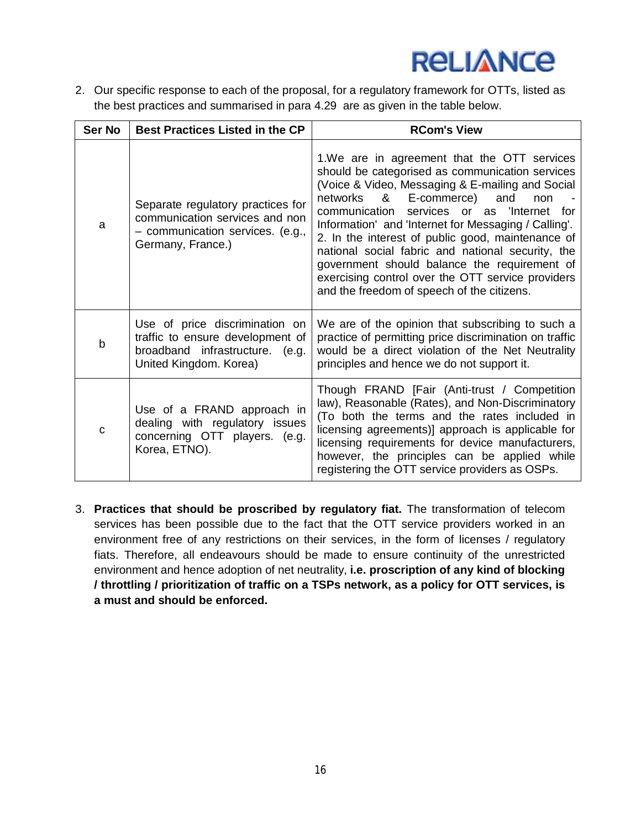2. Our specific response to each of the proposal, for a regulatory framework for OTTs, listed as the best practices and summarised in para 4.29 are as given in the table below.

| Ser No | <b>Best Practices Listed in the CP</b>                                                                                          | <b>RCom's View</b>                                                                                                                                                                                                                                                                                                                                                                                                                                                                                                                                                |
|--------|---------------------------------------------------------------------------------------------------------------------------------|-------------------------------------------------------------------------------------------------------------------------------------------------------------------------------------------------------------------------------------------------------------------------------------------------------------------------------------------------------------------------------------------------------------------------------------------------------------------------------------------------------------------------------------------------------------------|
| a      | Separate regulatory practices for<br>communication services and non<br>- communication services. (e.g.,<br>Germany, France.)    | 1. We are in agreement that the OTT services<br>should be categorised as communication services<br>(Voice & Video, Messaging & E-mailing and Social<br>networks &<br>E-commerce) and<br>non<br>communication services or as 'Internet<br>for<br>Information' and 'Internet for Messaging / Calling'.<br>2. In the interest of public good, maintenance of<br>national social fabric and national security, the<br>government should balance the requirement of<br>exercising control over the OTT service providers<br>and the freedom of speech of the citizens. |
| b      | Use of price discrimination on<br>traffic to ensure development of<br>broadband infrastructure. (e.g.<br>United Kingdom. Korea) | We are of the opinion that subscribing to such a<br>practice of permitting price discrimination on traffic<br>would be a direct violation of the Net Neutrality<br>principles and hence we do not support it.                                                                                                                                                                                                                                                                                                                                                     |
| C      | Use of a FRAND approach in<br>dealing with regulatory issues<br>concerning OTT players. (e.g.<br>Korea, ETNO).                  | Though FRAND [Fair (Anti-trust / Competition<br>law), Reasonable (Rates), and Non-Discriminatory<br>(To both the terms and the rates included in<br>licensing agreements)] approach is applicable for<br>licensing requirements for device manufacturers,<br>however, the principles can be applied while<br>registering the OTT service providers as OSPs.                                                                                                                                                                                                       |

3. **Practices that should be proscribed by regulatory fiat.** The transformation of telecom services has been possible due to the fact that the OTT service providers worked in an environment free of any restrictions on their services, in the form of licenses / regulatory fiats. Therefore, all endeavours should be made to ensure continuity of the unrestricted environment and hence adoption of net neutrality, **i.e. proscription of any kind of blocking / throttling / prioritization of traffic on a TSPs network, as a policy for OTT services, is a must and should be enforced.**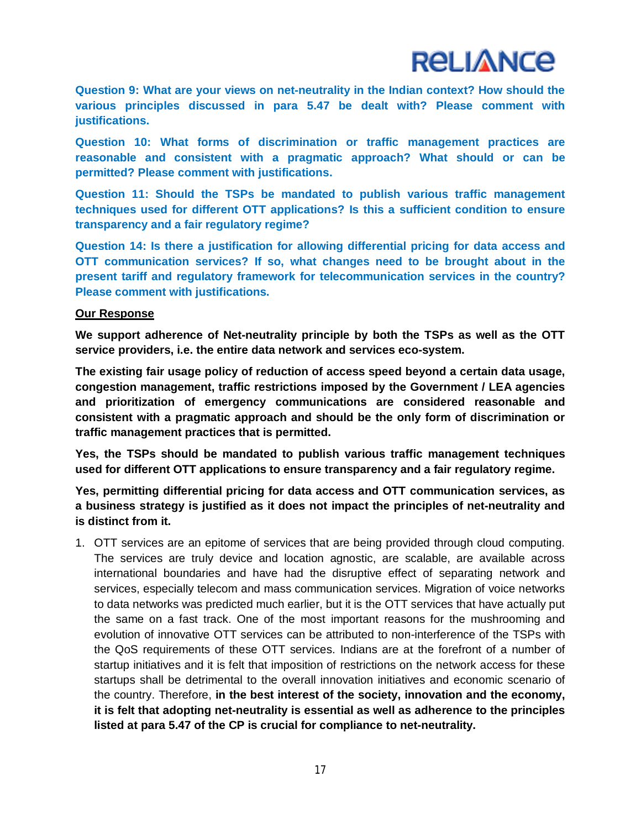**Question 9: What are your views on net-neutrality in the Indian context? How should the various principles discussed in para 5.47 be dealt with? Please comment with justifications.**

**Question 10: What forms of discrimination or traffic management practices are reasonable and consistent with a pragmatic approach? What should or can be permitted? Please comment with justifications.**

**Question 11: Should the TSPs be mandated to publish various traffic management techniques used for different OTT applications? Is this a sufficient condition to ensure transparency and a fair regulatory regime?**

**Question 14: Is there a justification for allowing differential pricing for data access and OTT communication services? If so, what changes need to be brought about in the present tariff and regulatory framework for telecommunication services in the country? Please comment with justifications.**

### **Our Response**

**We support adherence of Net-neutrality principle by both the TSPs as well as the OTT service providers, i.e. the entire data network and services eco-system.**

**The existing fair usage policy of reduction of access speed beyond a certain data usage, congestion management, traffic restrictions imposed by the Government / LEA agencies and prioritization of emergency communications are considered reasonable and consistent with a pragmatic approach and should be the only form of discrimination or traffic management practices that is permitted.**

**Yes, the TSPs should be mandated to publish various traffic management techniques used for different OTT applications to ensure transparency and a fair regulatory regime.**

**Yes, permitting differential pricing for data access and OTT communication services, as a business strategy is justified as it does not impact the principles of net-neutrality and is distinct from it.**

1. OTT services are an epitome of services that are being provided through cloud computing. The services are truly device and location agnostic, are scalable, are available across international boundaries and have had the disruptive effect of separating network and services, especially telecom and mass communication services. Migration of voice networks to data networks was predicted much earlier, but it is the OTT services that have actually put the same on a fast track. One of the most important reasons for the mushrooming and evolution of innovative OTT services can be attributed to non-interference of the TSPs with the QoS requirements of these OTT services. Indians are at the forefront of a number of startup initiatives and it is felt that imposition of restrictions on the network access for these startups shall be detrimental to the overall innovation initiatives and economic scenario of the country. Therefore, **in the best interest of the society, innovation and the economy, it is felt that adopting net-neutrality is essential as well as adherence to the principles listed at para 5.47 of the CP is crucial for compliance to net-neutrality.**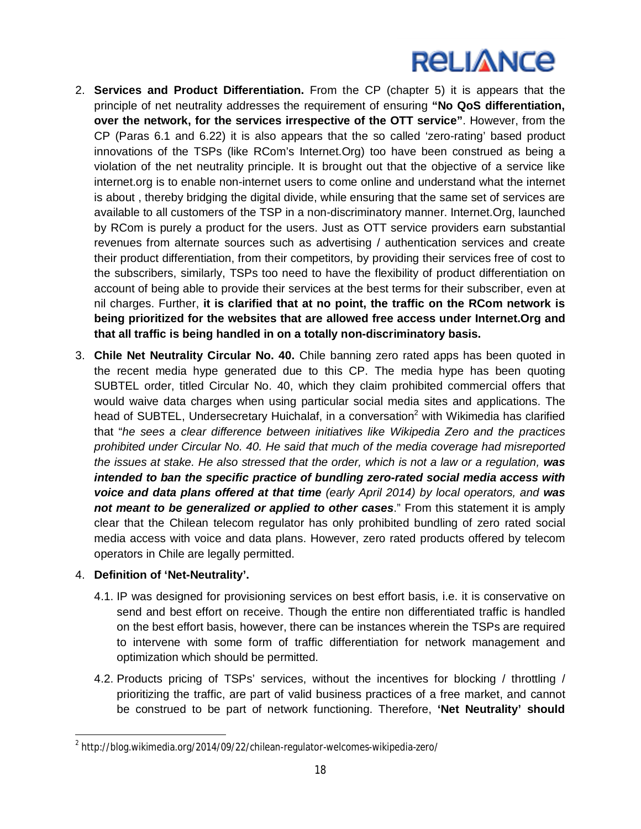- 2. **Services and Product Differentiation.** From the CP (chapter 5) it is appears that the principle of net neutrality addresses the requirement of ensuring **"No QoS differentiation, over the network, for the services irrespective of the OTT service"**. However, from the CP (Paras 6.1 and 6.22) it is also appears that the so called 'zero-rating' based product innovations of the TSPs (like RCom's Internet.Org) too have been construed as being a violation of the net neutrality principle. It is brought out that the objective of a service like internet.org is to enable non-internet users to come online and understand what the internet is about , thereby bridging the digital divide, while ensuring that the same set of services are available to all customers of the TSP in a non-discriminatory manner. Internet.Org, launched by RCom is purely a product for the users. Just as OTT service providers earn substantial revenues from alternate sources such as advertising / authentication services and create their product differentiation, from their competitors, by providing their services free of cost to the subscribers, similarly, TSPs too need to have the flexibility of product differentiation on account of being able to provide their services at the best terms for their subscriber, even at nil charges. Further, **it is clarified that at no point, the traffic on the RCom network is being prioritized for the websites that are allowed free access under Internet.Org and that all traffic is being handled in on a totally non-discriminatory basis.**
- 3. **Chile Net Neutrality Circular No. 40.** Chile banning zero rated apps has been quoted in the recent media hype generated due to this CP. The media hype has been quoting SUBTEL order, titled Circular No. 40, which they claim prohibited commercial offers that would waive data charges when using particular social media sites and applications. The head of SUBTEL, Undersecretary Huichalaf, in a conversation<sup>2</sup> with Wikimedia has clarified that "*he sees a clear difference between initiatives like Wikipedia Zero and the practices prohibited under Circular No. 40. He said that much of the media coverage had misreported the issues at stake. He also stressed that the order, which is not a law or a regulation, was intended to ban the specific practice of bundling zero-rated social media access with voice and data plans offered at that time (early April 2014) by local operators, and was not meant to be generalized or applied to other cases*." From this statement it is amply clear that the Chilean telecom regulator has only prohibited bundling of zero rated social media access with voice and data plans. However, zero rated products offered by telecom operators in Chile are legally permitted.

### 4. **Definition of 'Net-Neutrality'.**

- 4.1. IP was designed for provisioning services on best effort basis, i.e. it is conservative on send and best effort on receive. Though the entire non differentiated traffic is handled on the best effort basis, however, there can be instances wherein the TSPs are required to intervene with some form of traffic differentiation for network management and optimization which should be permitted.
- 4.2. Products pricing of TSPs' services, without the incentives for blocking / throttling / prioritizing the traffic, are part of valid business practices of a free market, and cannot be construed to be part of network functioning. Therefore, **'Net Neutrality' should**

 $\overline{a}$  $^{\text{2}}$  http://blog.wikimedia.org/2014/09/22/chilean-regulator-welcomes-wikipedia-zero/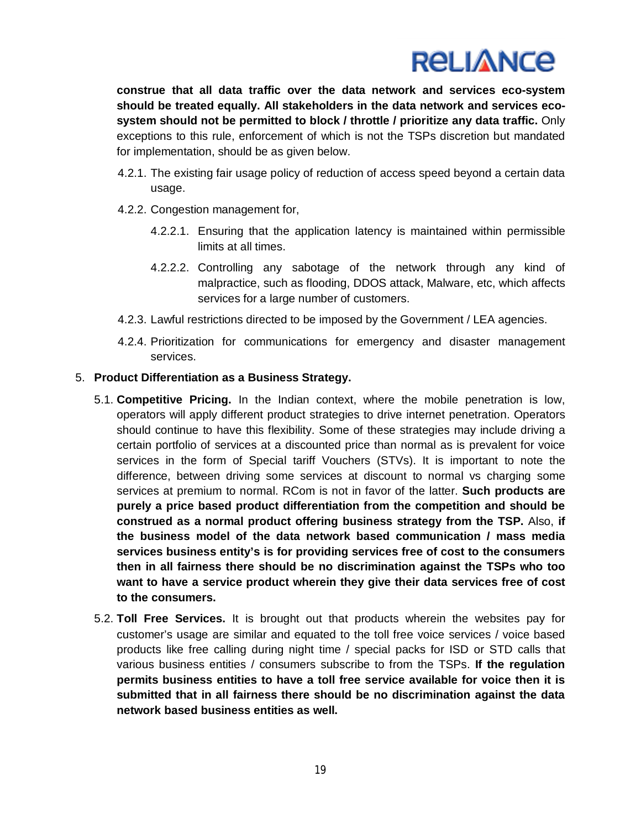

**construe that all data traffic over the data network and services eco-system should be treated equally. All stakeholders in the data network and services ecosystem should not be permitted to block / throttle / prioritize any data traffic.** Only exceptions to this rule, enforcement of which is not the TSPs discretion but mandated for implementation, should be as given below.

- 4.2.1. The existing fair usage policy of reduction of access speed beyond a certain data usage.
- 4.2.2. Congestion management for,
	- 4.2.2.1. Ensuring that the application latency is maintained within permissible limits at all times.
	- 4.2.2.2. Controlling any sabotage of the network through any kind of malpractice, such as flooding, DDOS attack, Malware, etc, which affects services for a large number of customers.
- 4.2.3. Lawful restrictions directed to be imposed by the Government / LEA agencies.
- 4.2.4. Prioritization for communications for emergency and disaster management services.

#### 5. **Product Differentiation as a Business Strategy.**

- 5.1. **Competitive Pricing.** In the Indian context, where the mobile penetration is low, operators will apply different product strategies to drive internet penetration. Operators should continue to have this flexibility. Some of these strategies may include driving a certain portfolio of services at a discounted price than normal as is prevalent for voice services in the form of Special tariff Vouchers (STVs). It is important to note the difference, between driving some services at discount to normal vs charging some services at premium to normal. RCom is not in favor of the latter. **Such products are purely a price based product differentiation from the competition and should be construed as a normal product offering business strategy from the TSP.** Also, **if the business model of the data network based communication / mass media services business entity's is for providing services free of cost to the consumers then in all fairness there should be no discrimination against the TSPs who too want to have a service product wherein they give their data services free of cost to the consumers.**
- 5.2. **Toll Free Services.** It is brought out that products wherein the websites pay for customer's usage are similar and equated to the toll free voice services / voice based products like free calling during night time / special packs for ISD or STD calls that various business entities / consumers subscribe to from the TSPs. **If the regulation permits business entities to have a toll free service available for voice then it is submitted that in all fairness there should be no discrimination against the data network based business entities as well.**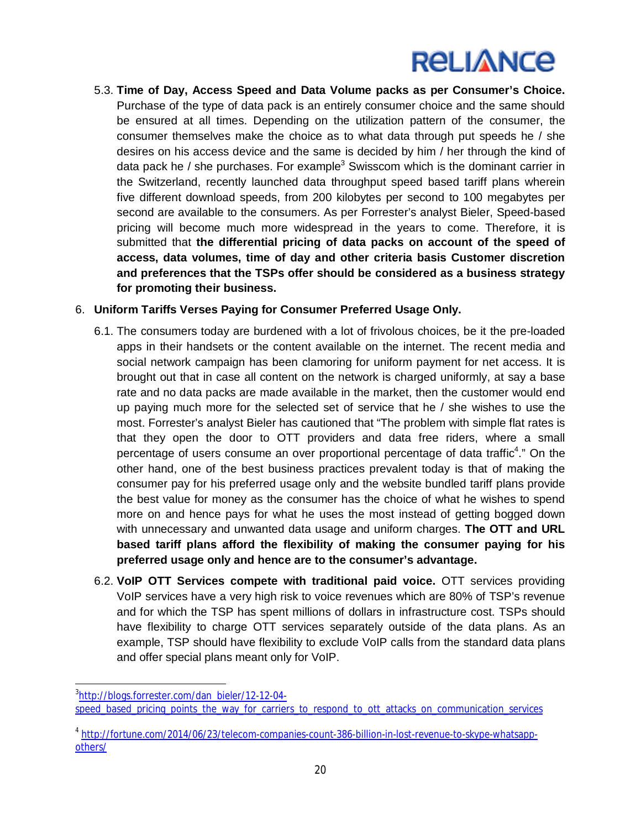5.3. **Time of Day, Access Speed and Data Volume packs as per Consumer's Choice.** Purchase of the type of data pack is an entirely consumer choice and the same should be ensured at all times. Depending on the utilization pattern of the consumer, the consumer themselves make the choice as to what data through put speeds he / she desires on his access device and the same is decided by him / her through the kind of data pack he / she purchases. For example<sup>3</sup> Swisscom which is the dominant carrier in the Switzerland, recently launched data throughput speed based tariff plans wherein five different download speeds, from 200 kilobytes per second to 100 megabytes per second are available to the consumers. As per Forrester's analyst Bieler, Speed-based pricing will become much more widespread in the years to come. Therefore, it is submitted that **the differential pricing of data packs on account of the speed of access, data volumes, time of day and other criteria basis Customer discretion and preferences that the TSPs offer should be considered as a business strategy for promoting their business.**

## 6. **Uniform Tariffs Verses Paying for Consumer Preferred Usage Only.**

- 6.1. The consumers today are burdened with a lot of frivolous choices, be it the pre-loaded apps in their handsets or the content available on the internet. The recent media and social network campaign has been clamoring for uniform payment for net access. It is brought out that in case all content on the network is charged uniformly, at say a base rate and no data packs are made available in the market, then the customer would end up paying much more for the selected set of service that he / she wishes to use the most. Forrester's analyst Bieler has cautioned that "The problem with simple flat rates is that they open the door to OTT providers and data free riders, where a small percentage of users consume an over proportional percentage of data traffic<sup>4</sup>." On the other hand, one of the best business practices prevalent today is that of making the consumer pay for his preferred usage only and the website bundled tariff plans provide the best value for money as the consumer has the choice of what he wishes to spend more on and hence pays for what he uses the most instead of getting bogged down with unnecessary and unwanted data usage and uniform charges. **The OTT and URL based tariff plans afford the flexibility of making the consumer paying for his preferred usage only and hence are to the consumer's advantage.**
- 6.2. **VoIP OTT Services compete with traditional paid voice.** OTT services providing VoIP services have a very high risk to voice revenues which are 80% of TSP's revenue and for which the TSP has spent millions of dollars in infrastructure cost. TSPs should have flexibility to charge OTT services separately outside of the data plans. As an example, TSP should have flexibility to exclude VoIP calls from the standard data plans and offer special plans meant only for VoIP.

 $\overline{a}$ <sup>3</sup>http://blogs.forrester.com/dan\_bieler/12-12-04-

speed\_based\_pricing\_points\_the\_way\_for\_carriers\_to\_respond\_to\_ott\_attacks\_on\_communication\_services

<sup>4</sup> http://fortune.com/2014/06/23/telecom-companies-count-386-billion-in-lost-revenue-to-skype-whatsappothers/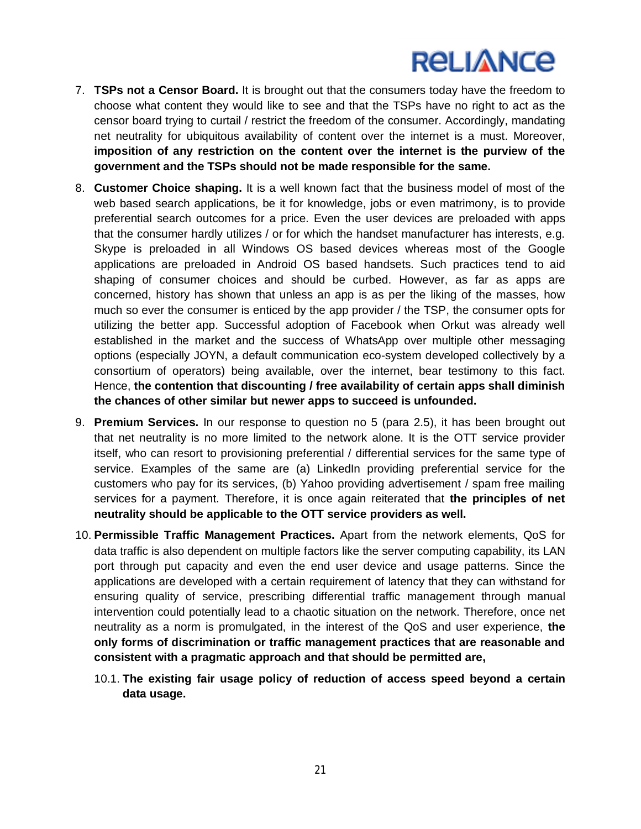- 7. **TSPs not a Censor Board.** It is brought out that the consumers today have the freedom to choose what content they would like to see and that the TSPs have no right to act as the censor board trying to curtail / restrict the freedom of the consumer. Accordingly, mandating net neutrality for ubiquitous availability of content over the internet is a must. Moreover, **imposition of any restriction on the content over the internet is the purview of the government and the TSPs should not be made responsible for the same.**
- 8. **Customer Choice shaping.** It is a well known fact that the business model of most of the web based search applications, be it for knowledge, jobs or even matrimony, is to provide preferential search outcomes for a price. Even the user devices are preloaded with apps that the consumer hardly utilizes / or for which the handset manufacturer has interests, e.g. Skype is preloaded in all Windows OS based devices whereas most of the Google applications are preloaded in Android OS based handsets. Such practices tend to aid shaping of consumer choices and should be curbed. However, as far as apps are concerned, history has shown that unless an app is as per the liking of the masses, how much so ever the consumer is enticed by the app provider / the TSP, the consumer opts for utilizing the better app. Successful adoption of Facebook when Orkut was already well established in the market and the success of WhatsApp over multiple other messaging options (especially JOYN, a default communication eco-system developed collectively by a consortium of operators) being available, over the internet, bear testimony to this fact. Hence, **the contention that discounting / free availability of certain apps shall diminish the chances of other similar but newer apps to succeed is unfounded.**
- 9. **Premium Services.** In our response to question no 5 (para 2.5), it has been brought out that net neutrality is no more limited to the network alone. It is the OTT service provider itself, who can resort to provisioning preferential / differential services for the same type of service. Examples of the same are (a) LinkedIn providing preferential service for the customers who pay for its services, (b) Yahoo providing advertisement / spam free mailing services for a payment. Therefore, it is once again reiterated that **the principles of net neutrality should be applicable to the OTT service providers as well.**
- 10. **Permissible Traffic Management Practices.** Apart from the network elements, QoS for data traffic is also dependent on multiple factors like the server computing capability, its LAN port through put capacity and even the end user device and usage patterns. Since the applications are developed with a certain requirement of latency that they can withstand for ensuring quality of service, prescribing differential traffic management through manual intervention could potentially lead to a chaotic situation on the network. Therefore, once net neutrality as a norm is promulgated, in the interest of the QoS and user experience, **the only forms of discrimination or traffic management practices that are reasonable and consistent with a pragmatic approach and that should be permitted are,**
	- 10.1. **The existing fair usage policy of reduction of access speed beyond a certain data usage.**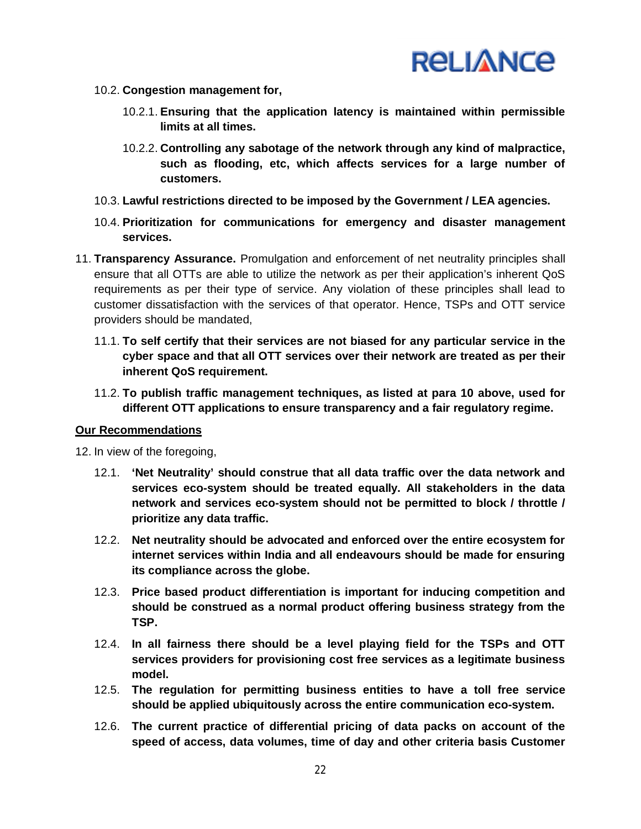

- 10.2. **Congestion management for,**
	- 10.2.1. **Ensuring that the application latency is maintained within permissible limits at all times.**
	- 10.2.2. **Controlling any sabotage of the network through any kind of malpractice, such as flooding, etc, which affects services for a large number of customers.**
- 10.3. **Lawful restrictions directed to be imposed by the Government / LEA agencies.**
- 10.4. **Prioritization for communications for emergency and disaster management services.**
- 11. **Transparency Assurance.** Promulgation and enforcement of net neutrality principles shall ensure that all OTTs are able to utilize the network as per their application's inherent QoS requirements as per their type of service. Any violation of these principles shall lead to customer dissatisfaction with the services of that operator. Hence, TSPs and OTT service providers should be mandated,
	- 11.1. **To self certify that their services are not biased for any particular service in the cyber space and that all OTT services over their network are treated as per their inherent QoS requirement.**
	- 11.2. **To publish traffic management techniques, as listed at para 10 above, used for different OTT applications to ensure transparency and a fair regulatory regime.**

#### **Our Recommendations**

12. In view of the foregoing,

- 12.1. **'Net Neutrality' should construe that all data traffic over the data network and services eco-system should be treated equally. All stakeholders in the data network and services eco-system should not be permitted to block / throttle / prioritize any data traffic.**
- 12.2. **Net neutrality should be advocated and enforced over the entire ecosystem for internet services within India and all endeavours should be made for ensuring its compliance across the globe.**
- 12.3. **Price based product differentiation is important for inducing competition and should be construed as a normal product offering business strategy from the TSP.**
- 12.4. **In all fairness there should be a level playing field for the TSPs and OTT services providers for provisioning cost free services as a legitimate business model.**
- 12.5. **The regulation for permitting business entities to have a toll free service should be applied ubiquitously across the entire communication eco-system.**
- 12.6. **The current practice of differential pricing of data packs on account of the speed of access, data volumes, time of day and other criteria basis Customer**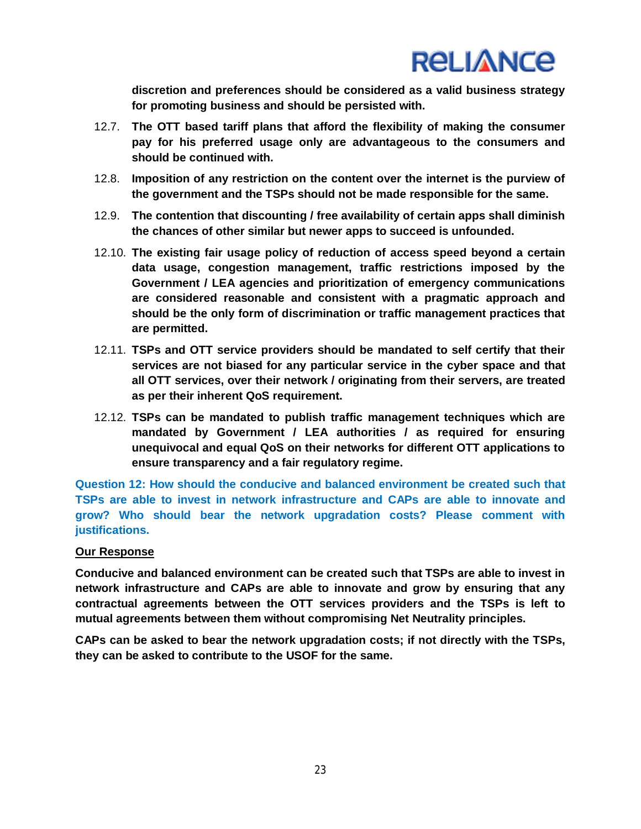

**discretion and preferences should be considered as a valid business strategy for promoting business and should be persisted with.**

- 12.7. **The OTT based tariff plans that afford the flexibility of making the consumer pay for his preferred usage only are advantageous to the consumers and should be continued with.**
- 12.8. **Imposition of any restriction on the content over the internet is the purview of the government and the TSPs should not be made responsible for the same.**
- 12.9. **The contention that discounting / free availability of certain apps shall diminish the chances of other similar but newer apps to succeed is unfounded.**
- 12.10. **The existing fair usage policy of reduction of access speed beyond a certain data usage, congestion management, traffic restrictions imposed by the Government / LEA agencies and prioritization of emergency communications are considered reasonable and consistent with a pragmatic approach and should be the only form of discrimination or traffic management practices that are permitted.**
- 12.11. **TSPs and OTT service providers should be mandated to self certify that their services are not biased for any particular service in the cyber space and that all OTT services, over their network / originating from their servers, are treated as per their inherent QoS requirement.**
- 12.12. **TSPs can be mandated to publish traffic management techniques which are mandated by Government / LEA authorities / as required for ensuring unequivocal and equal QoS on their networks for different OTT applications to ensure transparency and a fair regulatory regime.**

**Question 12: How should the conducive and balanced environment be created such that TSPs are able to invest in network infrastructure and CAPs are able to innovate and grow? Who should bear the network upgradation costs? Please comment with justifications.**

#### **Our Response**

**Conducive and balanced environment can be created such that TSPs are able to invest in network infrastructure and CAPs are able to innovate and grow by ensuring that any contractual agreements between the OTT services providers and the TSPs is left to mutual agreements between them without compromising Net Neutrality principles.**

**CAPs can be asked to bear the network upgradation costs; if not directly with the TSPs, they can be asked to contribute to the USOF for the same.**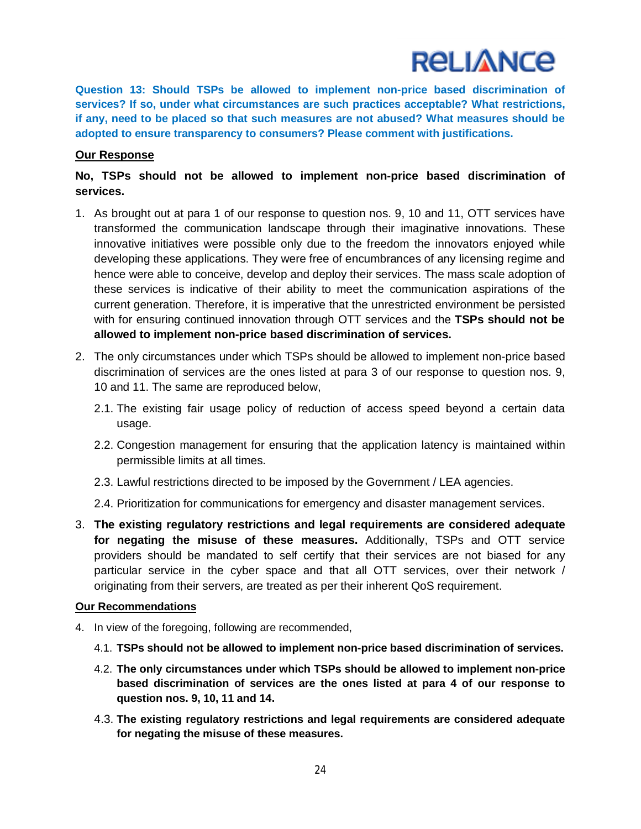**Question 13: Should TSPs be allowed to implement non-price based discrimination of services? If so, under what circumstances are such practices acceptable? What restrictions, if any, need to be placed so that such measures are not abused? What measures should be adopted to ensure transparency to consumers? Please comment with justifications.**

### **Our Response**

## **No, TSPs should not be allowed to implement non-price based discrimination of services.**

- 1. As brought out at para 1 of our response to question nos. 9, 10 and 11, OTT services have transformed the communication landscape through their imaginative innovations. These innovative initiatives were possible only due to the freedom the innovators enjoyed while developing these applications. They were free of encumbrances of any licensing regime and hence were able to conceive, develop and deploy their services. The mass scale adoption of these services is indicative of their ability to meet the communication aspirations of the current generation. Therefore, it is imperative that the unrestricted environment be persisted with for ensuring continued innovation through OTT services and the **TSPs should not be allowed to implement non-price based discrimination of services.**
- 2. The only circumstances under which TSPs should be allowed to implement non-price based discrimination of services are the ones listed at para 3 of our response to question nos. 9, 10 and 11. The same are reproduced below,
	- 2.1. The existing fair usage policy of reduction of access speed beyond a certain data usage.
	- 2.2. Congestion management for ensuring that the application latency is maintained within permissible limits at all times.
	- 2.3. Lawful restrictions directed to be imposed by the Government / LEA agencies.
	- 2.4. Prioritization for communications for emergency and disaster management services.
- 3. **The existing regulatory restrictions and legal requirements are considered adequate for negating the misuse of these measures.** Additionally, TSPs and OTT service providers should be mandated to self certify that their services are not biased for any particular service in the cyber space and that all OTT services, over their network / originating from their servers, are treated as per their inherent QoS requirement.

#### **Our Recommendations**

- 4. In view of the foregoing, following are recommended,
	- 4.1. **TSPs should not be allowed to implement non-price based discrimination of services.**
	- 4.2. **The only circumstances under which TSPs should be allowed to implement non-price based discrimination of services are the ones listed at para 4 of our response to question nos. 9, 10, 11 and 14.**
	- 4.3. **The existing regulatory restrictions and legal requirements are considered adequate for negating the misuse of these measures.**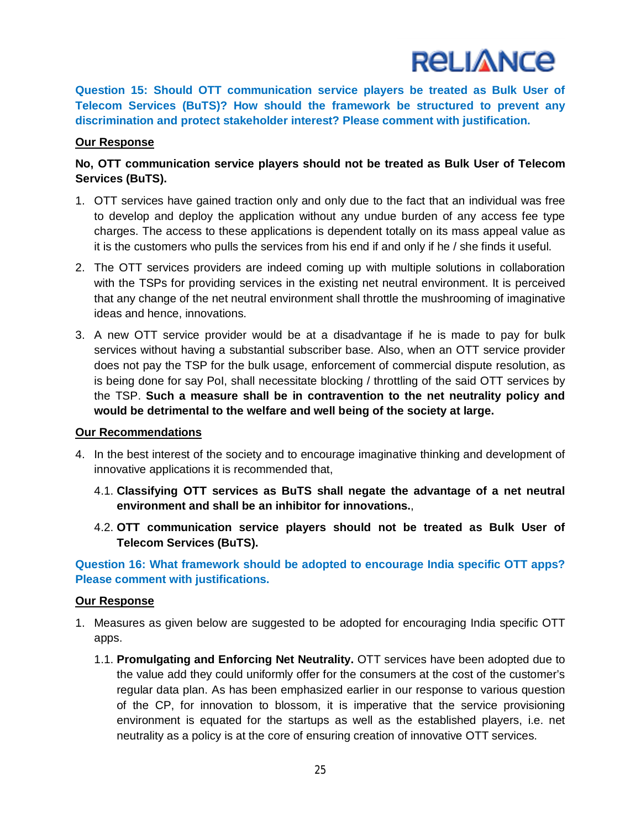

**Question 15: Should OTT communication service players be treated as Bulk User of Telecom Services (BuTS)? How should the framework be structured to prevent any discrimination and protect stakeholder interest? Please comment with justification.**

### **Our Response**

## **No, OTT communication service players should not be treated as Bulk User of Telecom Services (BuTS).**

- 1. OTT services have gained traction only and only due to the fact that an individual was free to develop and deploy the application without any undue burden of any access fee type charges. The access to these applications is dependent totally on its mass appeal value as it is the customers who pulls the services from his end if and only if he / she finds it useful.
- 2. The OTT services providers are indeed coming up with multiple solutions in collaboration with the TSPs for providing services in the existing net neutral environment. It is perceived that any change of the net neutral environment shall throttle the mushrooming of imaginative ideas and hence, innovations.
- 3. A new OTT service provider would be at a disadvantage if he is made to pay for bulk services without having a substantial subscriber base. Also, when an OTT service provider does not pay the TSP for the bulk usage, enforcement of commercial dispute resolution, as is being done for say PoI, shall necessitate blocking / throttling of the said OTT services by the TSP. **Such a measure shall be in contravention to the net neutrality policy and would be detrimental to the welfare and well being of the society at large.**

#### **Our Recommendations**

- 4. In the best interest of the society and to encourage imaginative thinking and development of innovative applications it is recommended that,
	- 4.1. **Classifying OTT services as BuTS shall negate the advantage of a net neutral environment and shall be an inhibitor for innovations.**,
	- 4.2. **OTT communication service players should not be treated as Bulk User of Telecom Services (BuTS).**

**Question 16: What framework should be adopted to encourage India specific OTT apps? Please comment with justifications.**

#### **Our Response**

- 1. Measures as given below are suggested to be adopted for encouraging India specific OTT apps.
	- 1.1. **Promulgating and Enforcing Net Neutrality.** OTT services have been adopted due to the value add they could uniformly offer for the consumers at the cost of the customer's regular data plan. As has been emphasized earlier in our response to various question of the CP, for innovation to blossom, it is imperative that the service provisioning environment is equated for the startups as well as the established players, i.e. net neutrality as a policy is at the core of ensuring creation of innovative OTT services.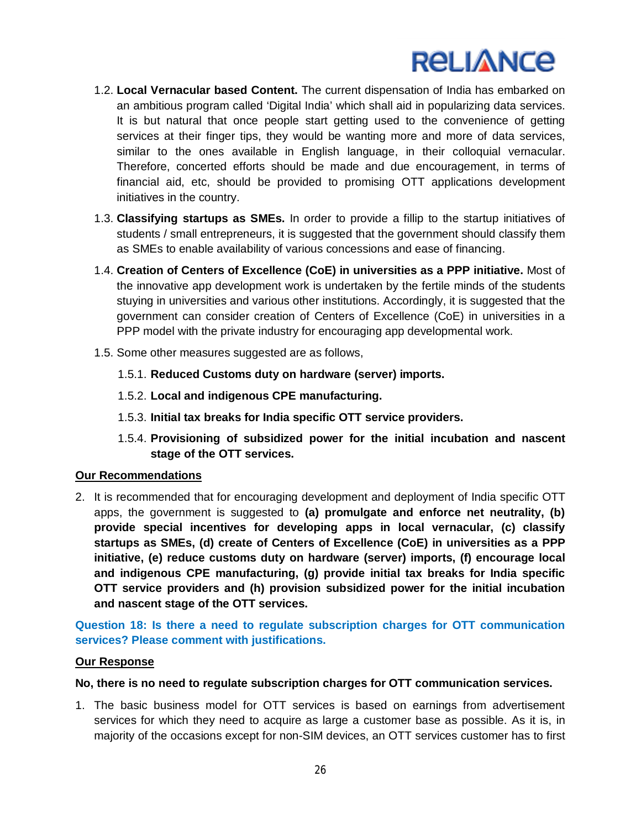

- 1.2. **Local Vernacular based Content.** The current dispensation of India has embarked on an ambitious program called 'Digital India' which shall aid in popularizing data services. It is but natural that once people start getting used to the convenience of getting services at their finger tips, they would be wanting more and more of data services, similar to the ones available in English language, in their colloquial vernacular. Therefore, concerted efforts should be made and due encouragement, in terms of financial aid, etc, should be provided to promising OTT applications development initiatives in the country.
- 1.3. **Classifying startups as SMEs.** In order to provide a fillip to the startup initiatives of students / small entrepreneurs, it is suggested that the government should classify them as SMEs to enable availability of various concessions and ease of financing.
- 1.4. **Creation of Centers of Excellence (CoE) in universities as a PPP initiative.** Most of the innovative app development work is undertaken by the fertile minds of the students stuying in universities and various other institutions. Accordingly, it is suggested that the government can consider creation of Centers of Excellence (CoE) in universities in a PPP model with the private industry for encouraging app developmental work.
- 1.5. Some other measures suggested are as follows,
	- 1.5.1. **Reduced Customs duty on hardware (server) imports.**
	- 1.5.2. **Local and indigenous CPE manufacturing.**
	- 1.5.3. **Initial tax breaks for India specific OTT service providers.**
	- 1.5.4. **Provisioning of subsidized power for the initial incubation and nascent stage of the OTT services.**

#### **Our Recommendations**

2. It is recommended that for encouraging development and deployment of India specific OTT apps, the government is suggested to **(a) promulgate and enforce net neutrality, (b) provide special incentives for developing apps in local vernacular, (c) classify startups as SMEs, (d) create of Centers of Excellence (CoE) in universities as a PPP initiative, (e) reduce customs duty on hardware (server) imports, (f) encourage local and indigenous CPE manufacturing, (g) provide initial tax breaks for India specific OTT service providers and (h) provision subsidized power for the initial incubation and nascent stage of the OTT services.**

**Question 18: Is there a need to regulate subscription charges for OTT communication services? Please comment with justifications.**

#### **Our Response**

#### **No, there is no need to regulate subscription charges for OTT communication services.**

1. The basic business model for OTT services is based on earnings from advertisement services for which they need to acquire as large a customer base as possible. As it is, in majority of the occasions except for non-SIM devices, an OTT services customer has to first